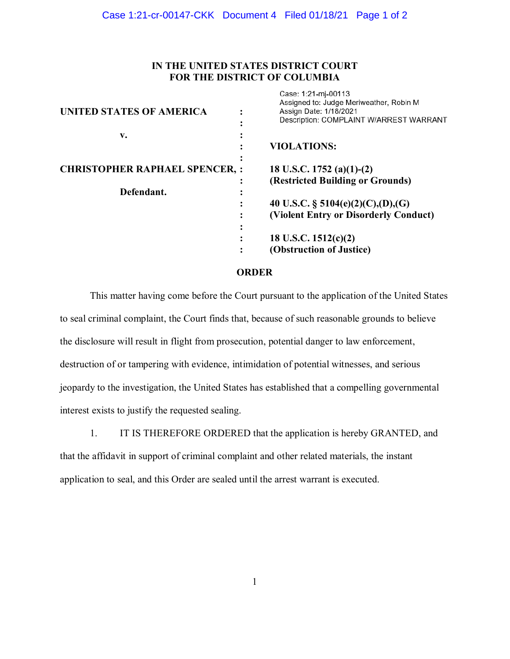## IN THE UNITED STATES DISTRICT COURT FOR THE DISTRICT OF COLUMBIA

Case: 1:21-mi-00113

| <b>UNITED STATES OF AMERICA</b>      | Assigned to: Judge Meriweather, Robin M<br>Assign Date: 1/18/2021<br>Description: COMPLAINT W/ARREST WARRANT |
|--------------------------------------|--------------------------------------------------------------------------------------------------------------|
| v.                                   | <b>VIOLATIONS:</b>                                                                                           |
| <b>CHRISTOPHER RAPHAEL SPENCER,:</b> | 18 U.S.C. 1752 (a)(1)-(2)<br>(Restricted Building or Grounds)                                                |
| Defendant.                           | 40 U.S.C. § 5104(e)(2)(C),(D),(G)                                                                            |
|                                      | (Violent Entry or Disorderly Conduct)                                                                        |
|                                      | 18 U.S.C. $1512(c)(2)$<br>(Obstruction of Justice)                                                           |

## ORDER

This matter having come before the Court pursuant to the application of the United States to seal criminal complaint, the Court finds that, because of such reasonable grounds to believe the disclosure will result in flight from prosecution, potential danger to law enforcement, destruction of or tampering with evidence, intimidation of potential witnesses, and serious jeopardy to the investigation, the United States has established that a compelling governmental interest exists to justify the requested sealing.

1. IT IS THEREFORE ORDERED that the application is hereby GRANTED, and that the affidavit in support of criminal complaint and other related materials, the instant application to seal, and this Order are sealed until the arrest warrant is executed.